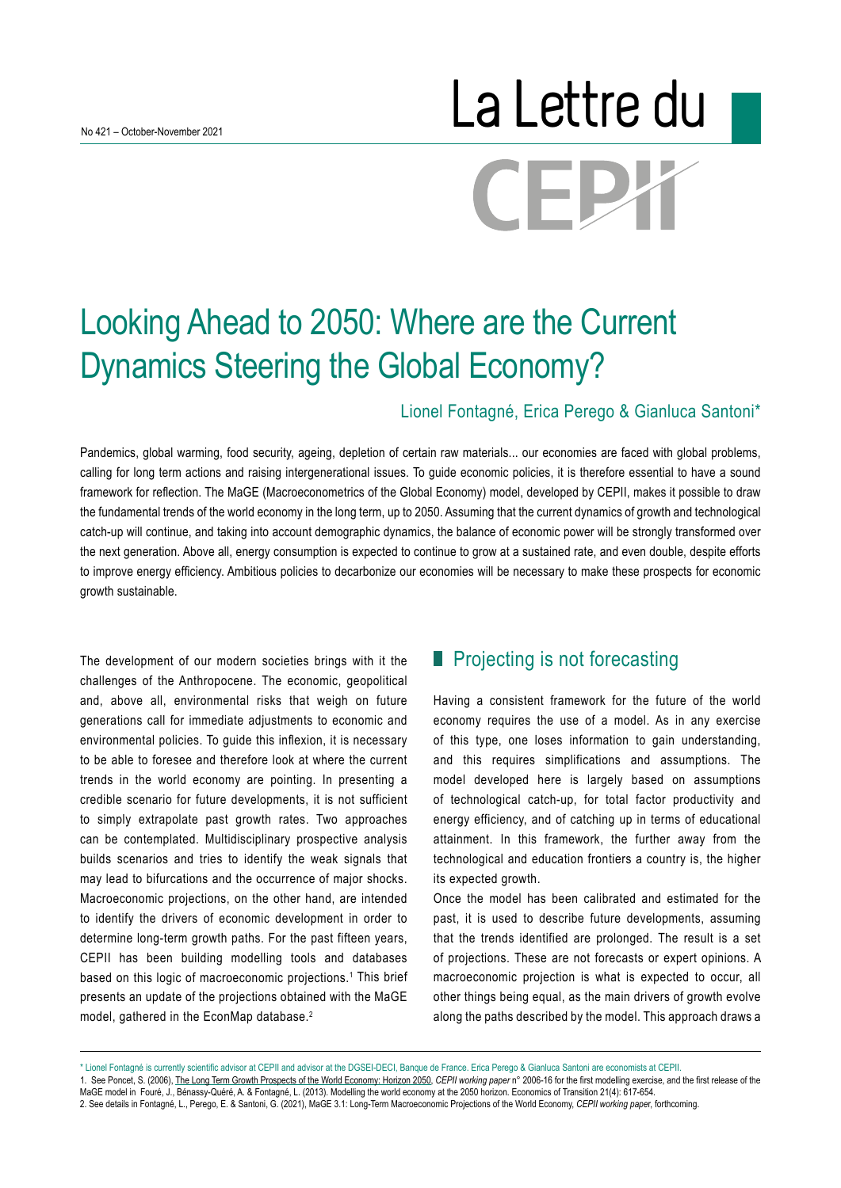# La Lettre du CEPX

# Looking Ahead to 2050: Where are the Current Dynamics Steering the Global Economy?

#### Lionel Fontagné, Erica Perego & Gianluca Santoni\*

Pandemics, global warming, food security, ageing, depletion of certain raw materials... our economies are faced with global problems, calling for long term actions and raising intergenerational issues. To guide economic policies, it is therefore essential to have a sound framework for reflection. The MaGE (Macroeconometrics of the Global Economy) model, developed by CEPII, makes it possible to draw the fundamental trends of the world economy in the long term, up to 2050. Assuming that the current dynamics of growth and technological catch-up will continue, and taking into account demographic dynamics, the balance of economic power will be strongly transformed over the next generation. Above all, energy consumption is expected to continue to grow at a sustained rate, and even double, despite efforts to improve energy efficiency. Ambitious policies to decarbonize our economies will be necessary to make these prospects for economic growth sustainable.

The development of our modern societies brings with it the challenges of the Anthropocene. The economic, geopolitical and, above all, environmental risks that weigh on future generations call for immediate adjustments to economic and environmental policies. To guide this inflexion, it is necessary to be able to foresee and therefore look at where the current trends in the world economy are pointing. In presenting a credible scenario for future developments, it is not sufficient to simply extrapolate past growth rates. Two approaches can be contemplated. Multidisciplinary prospective analysis builds scenarios and tries to identify the weak signals that may lead to bifurcations and the occurrence of major shocks. Macroeconomic projections, on the other hand, are intended to identify the drivers of economic development in order to determine long-term growth paths. For the past fifteen years, CEPII has been building modelling tools and databases based on this logic of macroeconomic projections.<sup>1</sup> This brief presents an update of the projections obtained with the MaGE model, gathered in the EconMap database.<sup>2</sup>

# **Projecting is not forecasting**

Having a consistent framework for the future of the world economy requires the use of a model. As in any exercise of this type, one loses information to gain understanding, and this requires simplifications and assumptions. The model developed here is largely based on assumptions of technological catch-up, for total factor productivity and energy efficiency, and of catching up in terms of educational attainment. In this framework, the further away from the technological and education frontiers a country is, the higher its expected growth.

Once the model has been calibrated and estimated for the past, it is used to describe future developments, assuming that the trends identified are prolonged. The result is a set of projections. These are not forecasts or expert opinions. A macroeconomic projection is what is expected to occur, all other things being equal, as the main drivers of growth evolve along the paths described by the model. This approach draws a

2. See details in Fontagné, L., Perego, E. & Santoni, G. (2021), MaGE 3.1: Long-Term Macroeconomic Projections of the World Economy, *CEPII working pape*r, forthcoming.

<sup>\*</sup> Lionel Fontagné is currently scientific advisor at CEPII and advisor at the DGSEI-DECI, Banque de France. Erica Perego & Gianluca Santoni are economists at CEPII.

<sup>1.</sup> See Poncet, S. (2006), [The Long Term Growth Prospects of the World Economy: Horizon 2050](http://www.cepii.fr/CEPII/fr/publications/wp/abstract.asp?NoDoc=804), *CEPII working paper* n° 2006-16 for the first modelling exercise, and the first release of the MaGE model in Fouré, J., Bénassy-Quéré, A. & Fontagné, L. (2013). Modelling the world economy at the 2050 horizon. Economics of Transition 21(4): 617-654.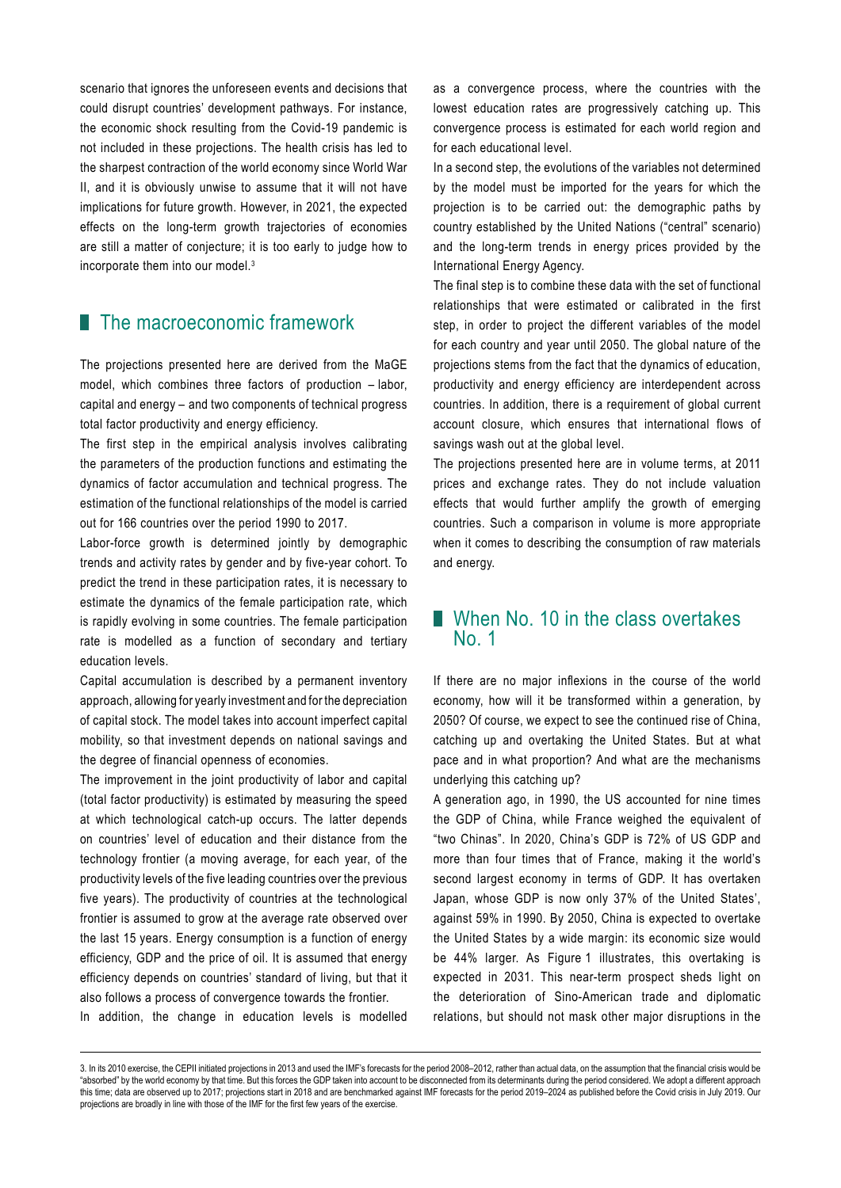scenario that ignores the unforeseen events and decisions that could disrupt countries' development pathways. For instance, the economic shock resulting from the Covid-19 pandemic is not included in these projections. The health crisis has led to the sharpest contraction of the world economy since World War II, and it is obviously unwise to assume that it will not have implications for future growth. However, in 2021, the expected effects on the long-term growth trajectories of economies are still a matter of conjecture; it is too early to judge how to incorporate them into our model.<sup>3</sup>

# **The macroeconomic framework**

The projections presented here are derived from the MaGE model, which combines three factors of production – labor, capital and energy – and two components of technical progress total factor productivity and energy efficiency.

The first step in the empirical analysis involves calibrating the parameters of the production functions and estimating the dynamics of factor accumulation and technical progress. The estimation of the functional relationships of the model is carried out for 166 countries over the period 1990 to 2017.

Labor-force growth is determined jointly by demographic trends and activity rates by gender and by five-year cohort. To predict the trend in these participation rates, it is necessary to estimate the dynamics of the female participation rate, which is rapidly evolving in some countries. The female participation rate is modelled as a function of secondary and tertiary education levels.

Capital accumulation is described by a permanent inventory approach, allowing for yearly investment and for the depreciation of capital stock. The model takes into account imperfect capital mobility, so that investment depends on national savings and the degree of financial openness of economies.

The improvement in the joint productivity of labor and capital (total factor productivity) is estimated by measuring the speed at which technological catch-up occurs. The latter depends on countries' level of education and their distance from the technology frontier (a moving average, for each year, of the productivity levels of the five leading countries over the previous five years). The productivity of countries at the technological frontier is assumed to grow at the average rate observed over the last 15 years. Energy consumption is a function of energy efficiency, GDP and the price of oil. It is assumed that energy efficiency depends on countries' standard of living, but that it also follows a process of convergence towards the frontier.

In addition, the change in education levels is modelled

as a convergence process, where the countries with the lowest education rates are progressively catching up. This convergence process is estimated for each world region and for each educational level.

In a second step, the evolutions of the variables not determined by the model must be imported for the years for which the projection is to be carried out: the demographic paths by country established by the United Nations ("central" scenario) and the long-term trends in energy prices provided by the International Energy Agency.

The final step is to combine these data with the set of functional relationships that were estimated or calibrated in the first step, in order to project the different variables of the model for each country and year until 2050. The global nature of the projections stems from the fact that the dynamics of education, productivity and energy efficiency are interdependent across countries. In addition, there is a requirement of global current account closure, which ensures that international flows of savings wash out at the global level.

The projections presented here are in volume terms, at 2011 prices and exchange rates. They do not include valuation effects that would further amplify the growth of emerging countries. Such a comparison in volume is more appropriate when it comes to describing the consumption of raw materials and energy.

## When No. 10 in the class overtakes No. 1

If there are no major inflexions in the course of the world economy, how will it be transformed within a generation, by 2050? Of course, we expect to see the continued rise of China, catching up and overtaking the United States. But at what pace and in what proportion? And what are the mechanisms underlying this catching up?

A generation ago, in 1990, the US accounted for nine times the GDP of China, while France weighed the equivalent of "two Chinas". In 2020, China's GDP is 72% of US GDP and more than four times that of France, making it the world's second largest economy in terms of GDP. It has overtaken Japan, whose GDP is now only 37% of the United States', against 59% in 1990. By 2050, China is expected to overtake the United States by a wide margin: its economic size would be 44% larger. As Figure 1 illustrates, this overtaking is expected in 2031. This near-term prospect sheds light on the deterioration of Sino-American trade and diplomatic relations, but should not mask other major disruptions in the

<sup>3.</sup> In its 2010 exercise, the CEPII initiated projections in 2013 and used the IMF's forecasts for the period 2008–2012, rather than actual data, on the assumption that the financial crisis would be "absorbed" by the world economy by that time. But this forces the GDP taken into account to be disconnected from its determinants during the period considered. We adopt a different approach this time; data are observed up to 2017; projections start in 2018 and are benchmarked against IMF forecasts for the period 2019–2024 as published before the Covid crisis in July 2019. Our projections are broadly in line with those of the IMF for the first few years of the exercise.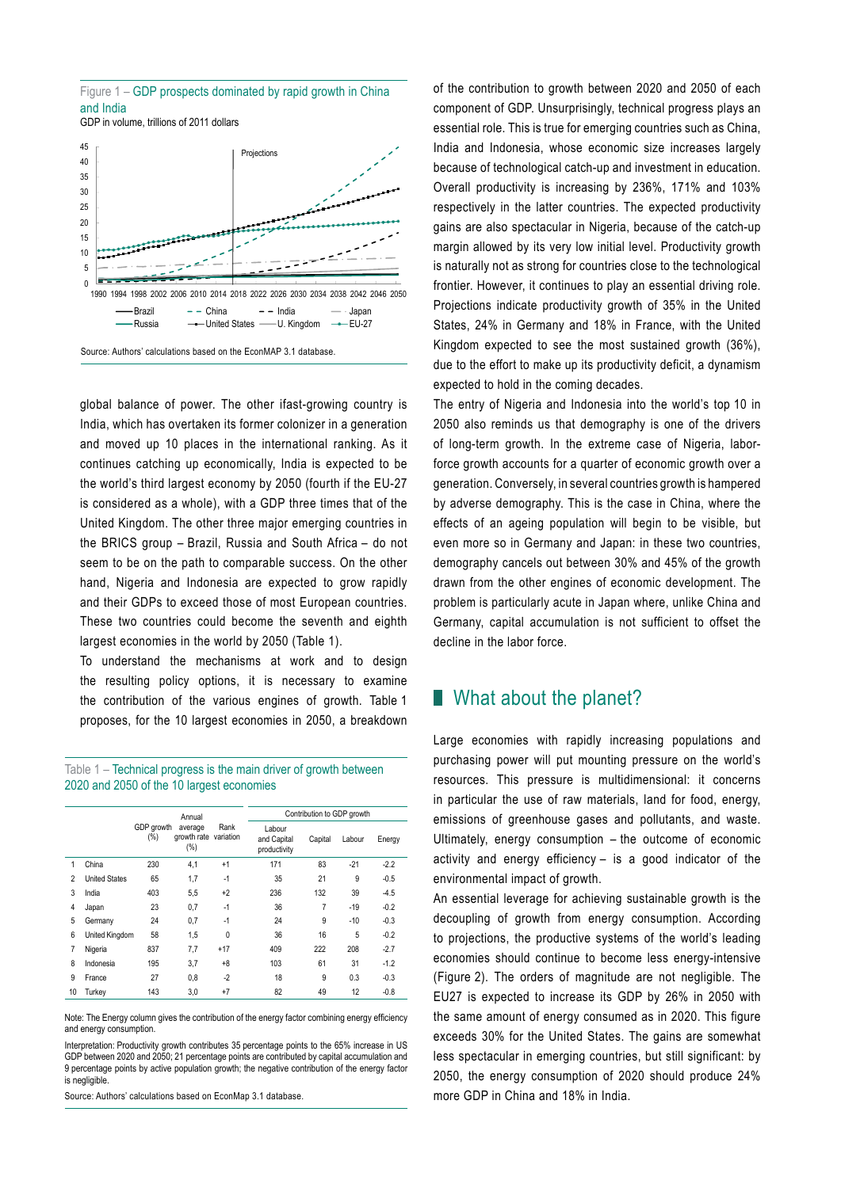



Source: Authors' calculations based on the EconMAP 3.1 database.

global balance of power. The other ifast-growing country is India, which has overtaken its former colonizer in a generation and moved up 10 places in the international ranking. As it continues catching up economically, India is expected to be the world's third largest economy by 2050 (fourth if the EU-27 is considered as a whole), with a GDP three times that of the United Kingdom. The other three major emerging countries in the BRICS group – Brazil, Russia and South Africa – do not seem to be on the path to comparable success. On the other hand, Nigeria and Indonesia are expected to grow rapidly and their GDPs to exceed those of most European countries. These two countries could become the seventh and eighth largest economies in the world by 2050 (Table 1).

To understand the mechanisms at work and to design the resulting policy options, it is necessary to examine the contribution of the various engines of growth. Table 1 proposes, for the 10 largest economies in 2050, a breakdown

Table 1 – Technical progress is the main driver of growth between 2020 and 2050 of the 10 largest economies

|                |                      |                      | Annual<br>average<br>growth rate<br>$(\%)$ | Rank<br>variation | Contribution to GDP growth            |                |        |        |
|----------------|----------------------|----------------------|--------------------------------------------|-------------------|---------------------------------------|----------------|--------|--------|
|                |                      | GDP growth<br>$(\%)$ |                                            |                   | Labour<br>and Capital<br>productivity | Capital        | Labour | Energy |
| 1              | China                | 230                  | 4,1                                        | $+1$              | 171                                   | 83             | $-21$  | $-2.2$ |
| $\overline{2}$ | <b>United States</b> | 65                   | 1,7                                        | $-1$              | 35                                    | 21             | 9      | $-0.5$ |
| 3              | India                | 403                  | 5,5                                        | $+2$              | 236                                   | 132            | 39     | $-4.5$ |
| 4              | Japan                | 23                   | 0,7                                        | $-1$              | 36                                    | $\overline{7}$ | $-19$  | $-0.2$ |
| 5              | Germany              | 24                   | 0,7                                        | $-1$              | 24                                    | 9              | $-10$  | $-0.3$ |
| 6              | United Kingdom       | 58                   | 1,5                                        | 0                 | 36                                    | 16             | 5      | $-0.2$ |
| 7              | Nigeria              | 837                  | 7,7                                        | $+17$             | 409                                   | 222            | 208    | $-2.7$ |
| 8              | Indonesia            | 195                  | 3,7                                        | +8                | 103                                   | 61             | 31     | $-1.2$ |
| 9              | France               | 27                   | 0,8                                        | $-2$              | 18                                    | 9              | 0.3    | $-0.3$ |
| 10             | Turkev               | 143                  | 3,0                                        | $+7$              | 82                                    | 49             | 12     | $-0.8$ |

Note: The Energy column gives the contribution of the energy factor combining energy efficiency and energy consumption

Interpretation: Productivity growth contributes 35 percentage points to the 65% increase in US GDP between 2020 and 2050; 21 percentage points are contributed by capital accumulation and 9 percentage points by active population growth; the negative contribution of the energy factor is negligible.

Source: Authors' calculations based on EconMap 3.1 database.

of the contribution to growth between 2020 and 2050 of each component of GDP. Unsurprisingly, technical progress plays an essential role. This is true for emerging countries such as China, India and Indonesia, whose economic size increases largely because of technological catch-up and investment in education. Overall productivity is increasing by 236%, 171% and 103% respectively in the latter countries. The expected productivity gains are also spectacular in Nigeria, because of the catch-up margin allowed by its very low initial level. Productivity growth is naturally not as strong for countries close to the technological frontier. However, it continues to play an essential driving role. Projections indicate productivity growth of 35% in the United States, 24% in Germany and 18% in France, with the United Kingdom expected to see the most sustained growth (36%), due to the effort to make up its productivity deficit, a dynamism expected to hold in the coming decades.

The entry of Nigeria and Indonesia into the world's top 10 in 2050 also reminds us that demography is one of the drivers of long-term growth. In the extreme case of Nigeria, laborforce growth accounts for a quarter of economic growth over a generation. Conversely, in several countries growth is hampered by adverse demography. This is the case in China, where the effects of an ageing population will begin to be visible, but even more so in Germany and Japan: in these two countries, demography cancels out between 30% and 45% of the growth drawn from the other engines of economic development. The problem is particularly acute in Japan where, unlike China and Germany, capital accumulation is not sufficient to offset the decline in the labor force.

## ■ What about the planet?

Large economies with rapidly increasing populations and purchasing power will put mounting pressure on the world's resources. This pressure is multidimensional: it concerns in particular the use of raw materials, land for food, energy, emissions of greenhouse gases and pollutants, and waste. Ultimately, energy consumption – the outcome of economic activity and energy efficiency – is a good indicator of the environmental impact of growth.

An essential leverage for achieving sustainable growth is the decoupling of growth from energy consumption. According to projections, the productive systems of the world's leading economies should continue to become less energy-intensive (Figure 2). The orders of magnitude are not negligible. The EU27 is expected to increase its GDP by 26% in 2050 with the same amount of energy consumed as in 2020. This figure exceeds 30% for the United States. The gains are somewhat less spectacular in emerging countries, but still significant: by 2050, the energy consumption of 2020 should produce 24% more GDP in China and 18% in India.